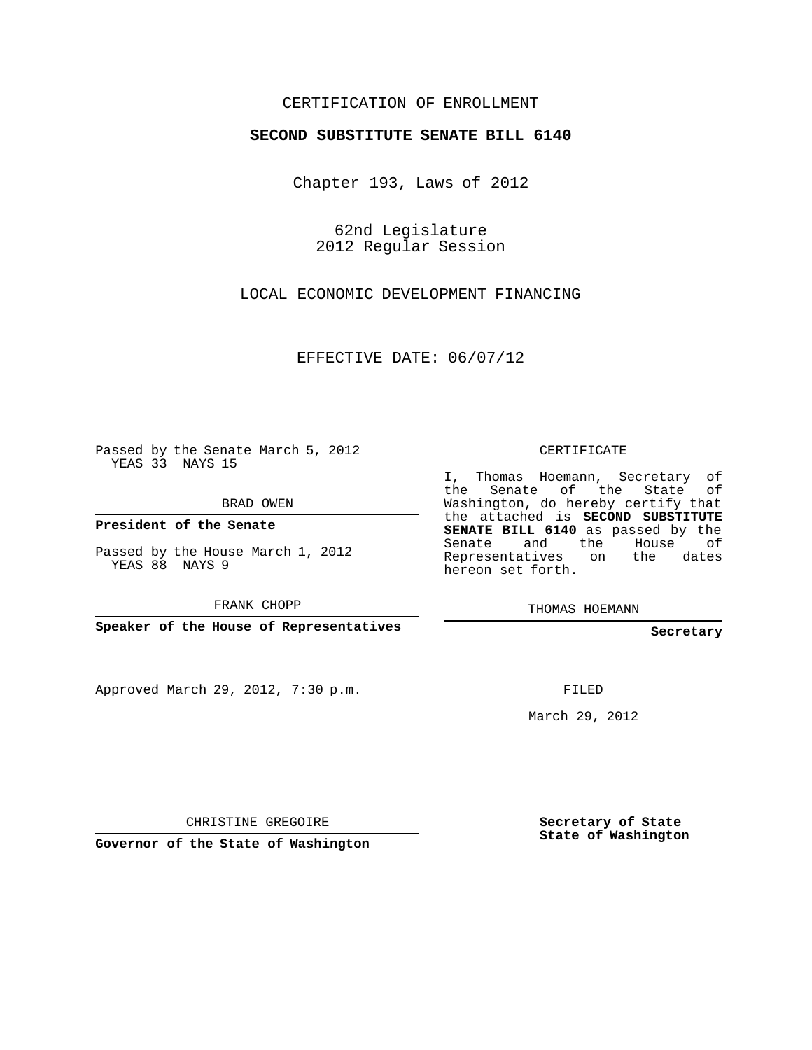## CERTIFICATION OF ENROLLMENT

## **SECOND SUBSTITUTE SENATE BILL 6140**

Chapter 193, Laws of 2012

62nd Legislature 2012 Regular Session

LOCAL ECONOMIC DEVELOPMENT FINANCING

EFFECTIVE DATE: 06/07/12

Passed by the Senate March 5, 2012 YEAS 33 NAYS 15

BRAD OWEN

**President of the Senate**

Passed by the House March 1, 2012 YEAS 88 NAYS 9

FRANK CHOPP

**Speaker of the House of Representatives**

Approved March 29, 2012, 7:30 p.m.

CERTIFICATE

I, Thomas Hoemann, Secretary of the Senate of the State of Washington, do hereby certify that the attached is **SECOND SUBSTITUTE SENATE BILL 6140** as passed by the Senate and the House of Representatives on the dates hereon set forth.

THOMAS HOEMANN

**Secretary**

FILED

March 29, 2012

CHRISTINE GREGOIRE

**Governor of the State of Washington**

**Secretary of State State of Washington**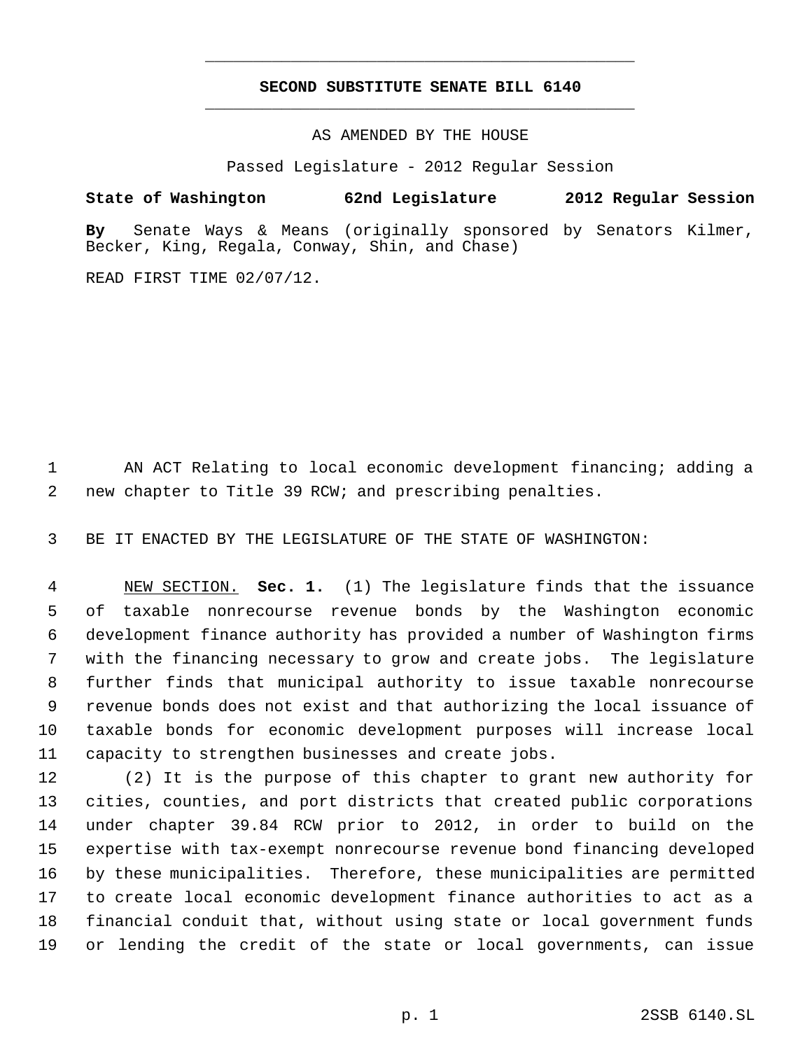## **SECOND SUBSTITUTE SENATE BILL 6140** \_\_\_\_\_\_\_\_\_\_\_\_\_\_\_\_\_\_\_\_\_\_\_\_\_\_\_\_\_\_\_\_\_\_\_\_\_\_\_\_\_\_\_\_\_

\_\_\_\_\_\_\_\_\_\_\_\_\_\_\_\_\_\_\_\_\_\_\_\_\_\_\_\_\_\_\_\_\_\_\_\_\_\_\_\_\_\_\_\_\_

AS AMENDED BY THE HOUSE

Passed Legislature - 2012 Regular Session

## **State of Washington 62nd Legislature 2012 Regular Session**

**By** Senate Ways & Means (originally sponsored by Senators Kilmer, Becker, King, Regala, Conway, Shin, and Chase)

READ FIRST TIME 02/07/12.

 AN ACT Relating to local economic development financing; adding a new chapter to Title 39 RCW; and prescribing penalties.

BE IT ENACTED BY THE LEGISLATURE OF THE STATE OF WASHINGTON:

 NEW SECTION. **Sec. 1.** (1) The legislature finds that the issuance of taxable nonrecourse revenue bonds by the Washington economic development finance authority has provided a number of Washington firms with the financing necessary to grow and create jobs. The legislature further finds that municipal authority to issue taxable nonrecourse revenue bonds does not exist and that authorizing the local issuance of taxable bonds for economic development purposes will increase local capacity to strengthen businesses and create jobs.

 (2) It is the purpose of this chapter to grant new authority for cities, counties, and port districts that created public corporations under chapter 39.84 RCW prior to 2012, in order to build on the expertise with tax-exempt nonrecourse revenue bond financing developed by these municipalities. Therefore, these municipalities are permitted to create local economic development finance authorities to act as a financial conduit that, without using state or local government funds or lending the credit of the state or local governments, can issue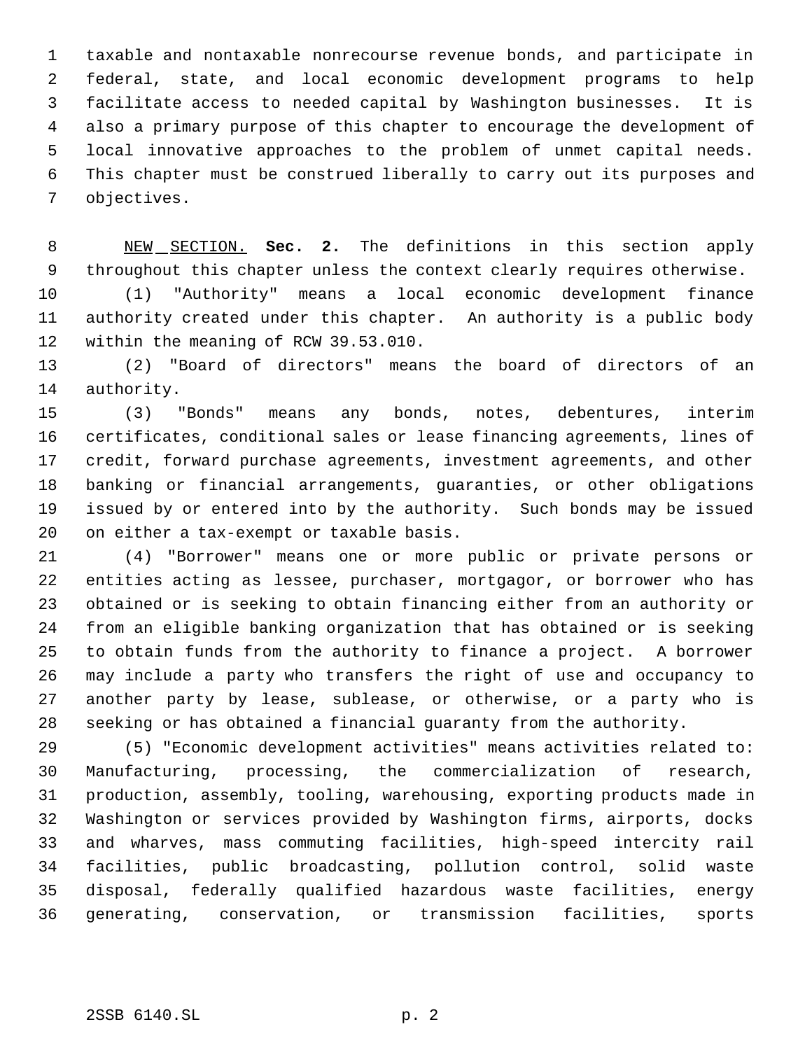taxable and nontaxable nonrecourse revenue bonds, and participate in federal, state, and local economic development programs to help facilitate access to needed capital by Washington businesses. It is also a primary purpose of this chapter to encourage the development of local innovative approaches to the problem of unmet capital needs. This chapter must be construed liberally to carry out its purposes and objectives.

 NEW SECTION. **Sec. 2.** The definitions in this section apply throughout this chapter unless the context clearly requires otherwise.

 (1) "Authority" means a local economic development finance authority created under this chapter. An authority is a public body within the meaning of RCW 39.53.010.

 (2) "Board of directors" means the board of directors of an authority.

 (3) "Bonds" means any bonds, notes, debentures, interim certificates, conditional sales or lease financing agreements, lines of credit, forward purchase agreements, investment agreements, and other banking or financial arrangements, guaranties, or other obligations issued by or entered into by the authority. Such bonds may be issued on either a tax-exempt or taxable basis.

 (4) "Borrower" means one or more public or private persons or entities acting as lessee, purchaser, mortgagor, or borrower who has obtained or is seeking to obtain financing either from an authority or from an eligible banking organization that has obtained or is seeking to obtain funds from the authority to finance a project. A borrower may include a party who transfers the right of use and occupancy to another party by lease, sublease, or otherwise, or a party who is seeking or has obtained a financial guaranty from the authority.

 (5) "Economic development activities" means activities related to: Manufacturing, processing, the commercialization of research, production, assembly, tooling, warehousing, exporting products made in Washington or services provided by Washington firms, airports, docks and wharves, mass commuting facilities, high-speed intercity rail facilities, public broadcasting, pollution control, solid waste disposal, federally qualified hazardous waste facilities, energy generating, conservation, or transmission facilities, sports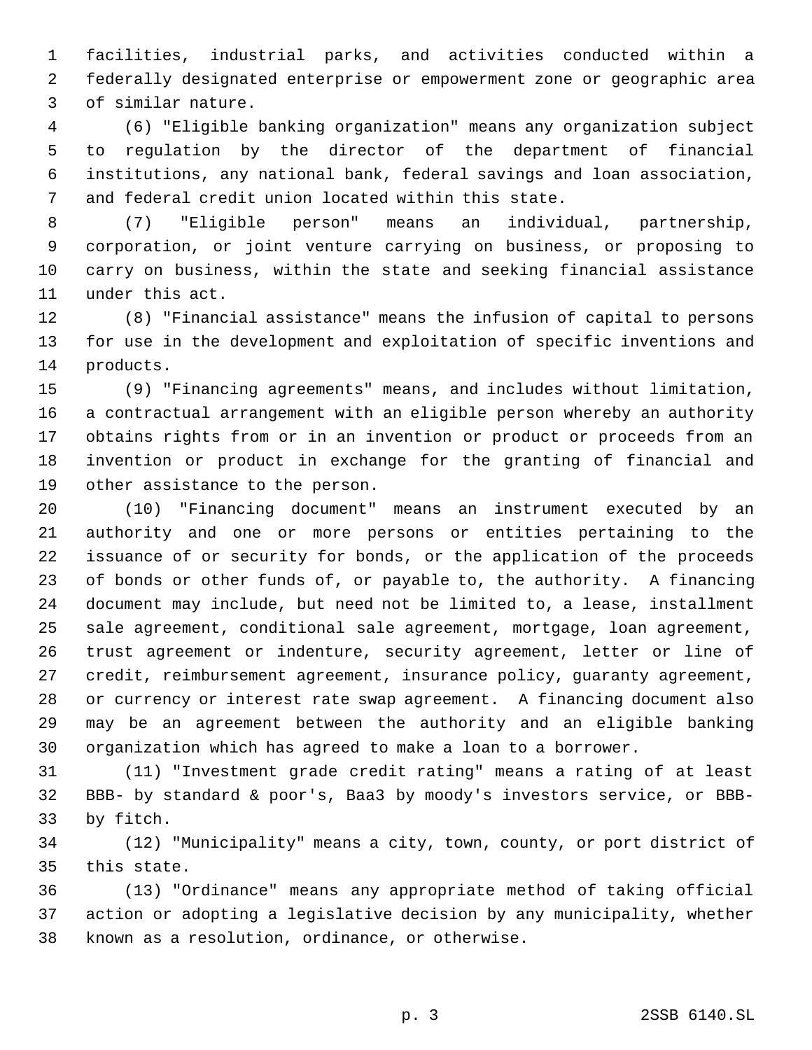facilities, industrial parks, and activities conducted within a federally designated enterprise or empowerment zone or geographic area of similar nature.

 (6) "Eligible banking organization" means any organization subject to regulation by the director of the department of financial institutions, any national bank, federal savings and loan association, and federal credit union located within this state.

 (7) "Eligible person" means an individual, partnership, corporation, or joint venture carrying on business, or proposing to carry on business, within the state and seeking financial assistance under this act.

 (8) "Financial assistance" means the infusion of capital to persons for use in the development and exploitation of specific inventions and products.

 (9) "Financing agreements" means, and includes without limitation, a contractual arrangement with an eligible person whereby an authority obtains rights from or in an invention or product or proceeds from an invention or product in exchange for the granting of financial and other assistance to the person.

 (10) "Financing document" means an instrument executed by an authority and one or more persons or entities pertaining to the issuance of or security for bonds, or the application of the proceeds of bonds or other funds of, or payable to, the authority. A financing document may include, but need not be limited to, a lease, installment sale agreement, conditional sale agreement, mortgage, loan agreement, trust agreement or indenture, security agreement, letter or line of credit, reimbursement agreement, insurance policy, guaranty agreement, or currency or interest rate swap agreement. A financing document also may be an agreement between the authority and an eligible banking organization which has agreed to make a loan to a borrower.

 (11) "Investment grade credit rating" means a rating of at least BBB- by standard & poor's, Baa3 by moody's investors service, or BBB-by fitch.

 (12) "Municipality" means a city, town, county, or port district of this state.

 (13) "Ordinance" means any appropriate method of taking official action or adopting a legislative decision by any municipality, whether known as a resolution, ordinance, or otherwise.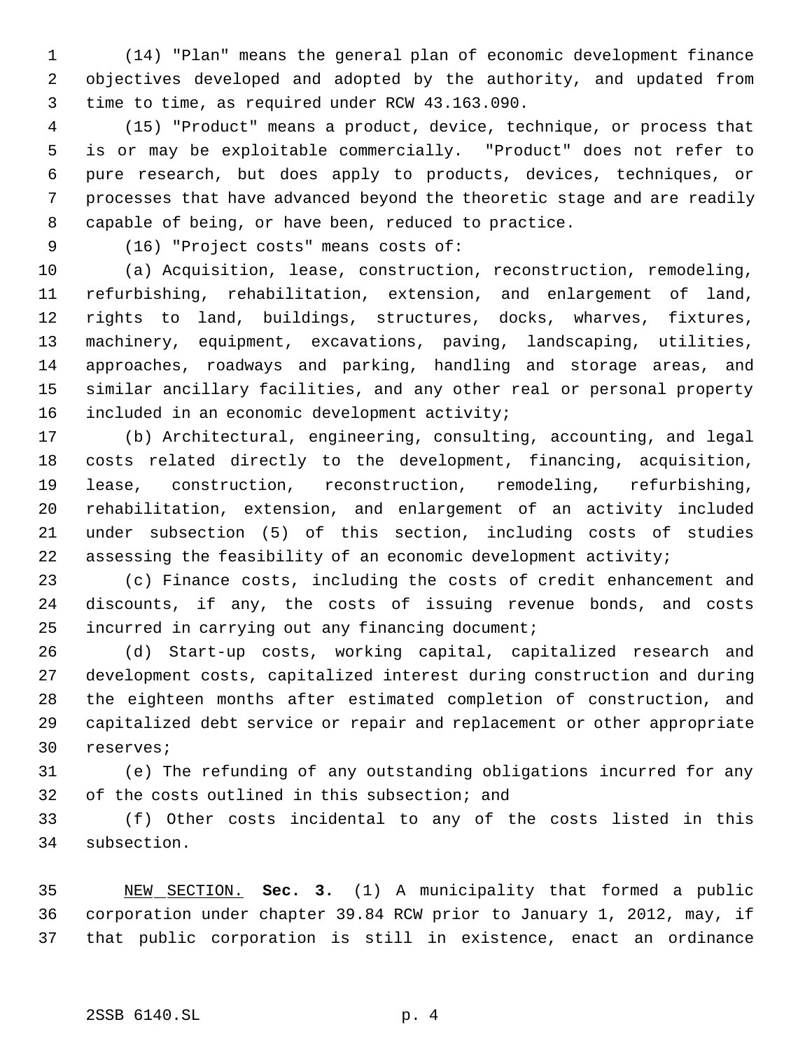(14) "Plan" means the general plan of economic development finance objectives developed and adopted by the authority, and updated from time to time, as required under RCW 43.163.090.

 (15) "Product" means a product, device, technique, or process that is or may be exploitable commercially. "Product" does not refer to pure research, but does apply to products, devices, techniques, or processes that have advanced beyond the theoretic stage and are readily capable of being, or have been, reduced to practice.

(16) "Project costs" means costs of:

 (a) Acquisition, lease, construction, reconstruction, remodeling, refurbishing, rehabilitation, extension, and enlargement of land, rights to land, buildings, structures, docks, wharves, fixtures, machinery, equipment, excavations, paving, landscaping, utilities, approaches, roadways and parking, handling and storage areas, and similar ancillary facilities, and any other real or personal property included in an economic development activity;

 (b) Architectural, engineering, consulting, accounting, and legal costs related directly to the development, financing, acquisition, lease, construction, reconstruction, remodeling, refurbishing, rehabilitation, extension, and enlargement of an activity included under subsection (5) of this section, including costs of studies assessing the feasibility of an economic development activity;

 (c) Finance costs, including the costs of credit enhancement and discounts, if any, the costs of issuing revenue bonds, and costs incurred in carrying out any financing document;

 (d) Start-up costs, working capital, capitalized research and development costs, capitalized interest during construction and during the eighteen months after estimated completion of construction, and capitalized debt service or repair and replacement or other appropriate reserves;

 (e) The refunding of any outstanding obligations incurred for any of the costs outlined in this subsection; and

 (f) Other costs incidental to any of the costs listed in this subsection.

 NEW SECTION. **Sec. 3.** (1) A municipality that formed a public corporation under chapter 39.84 RCW prior to January 1, 2012, may, if that public corporation is still in existence, enact an ordinance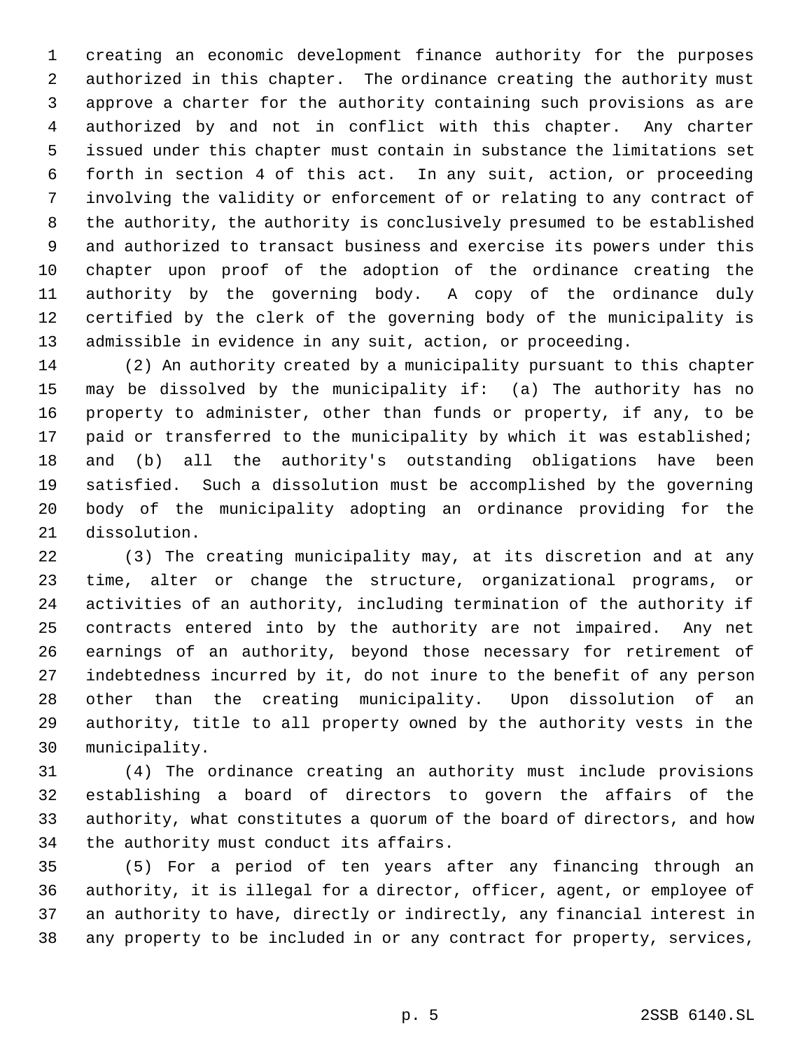creating an economic development finance authority for the purposes authorized in this chapter. The ordinance creating the authority must approve a charter for the authority containing such provisions as are authorized by and not in conflict with this chapter. Any charter issued under this chapter must contain in substance the limitations set forth in section 4 of this act. In any suit, action, or proceeding involving the validity or enforcement of or relating to any contract of the authority, the authority is conclusively presumed to be established and authorized to transact business and exercise its powers under this chapter upon proof of the adoption of the ordinance creating the authority by the governing body. A copy of the ordinance duly certified by the clerk of the governing body of the municipality is admissible in evidence in any suit, action, or proceeding.

 (2) An authority created by a municipality pursuant to this chapter may be dissolved by the municipality if: (a) The authority has no property to administer, other than funds or property, if any, to be 17 paid or transferred to the municipality by which it was established; and (b) all the authority's outstanding obligations have been satisfied. Such a dissolution must be accomplished by the governing body of the municipality adopting an ordinance providing for the dissolution.

 (3) The creating municipality may, at its discretion and at any time, alter or change the structure, organizational programs, or activities of an authority, including termination of the authority if contracts entered into by the authority are not impaired. Any net earnings of an authority, beyond those necessary for retirement of indebtedness incurred by it, do not inure to the benefit of any person other than the creating municipality. Upon dissolution of an authority, title to all property owned by the authority vests in the municipality.

 (4) The ordinance creating an authority must include provisions establishing a board of directors to govern the affairs of the authority, what constitutes a quorum of the board of directors, and how the authority must conduct its affairs.

 (5) For a period of ten years after any financing through an authority, it is illegal for a director, officer, agent, or employee of an authority to have, directly or indirectly, any financial interest in any property to be included in or any contract for property, services,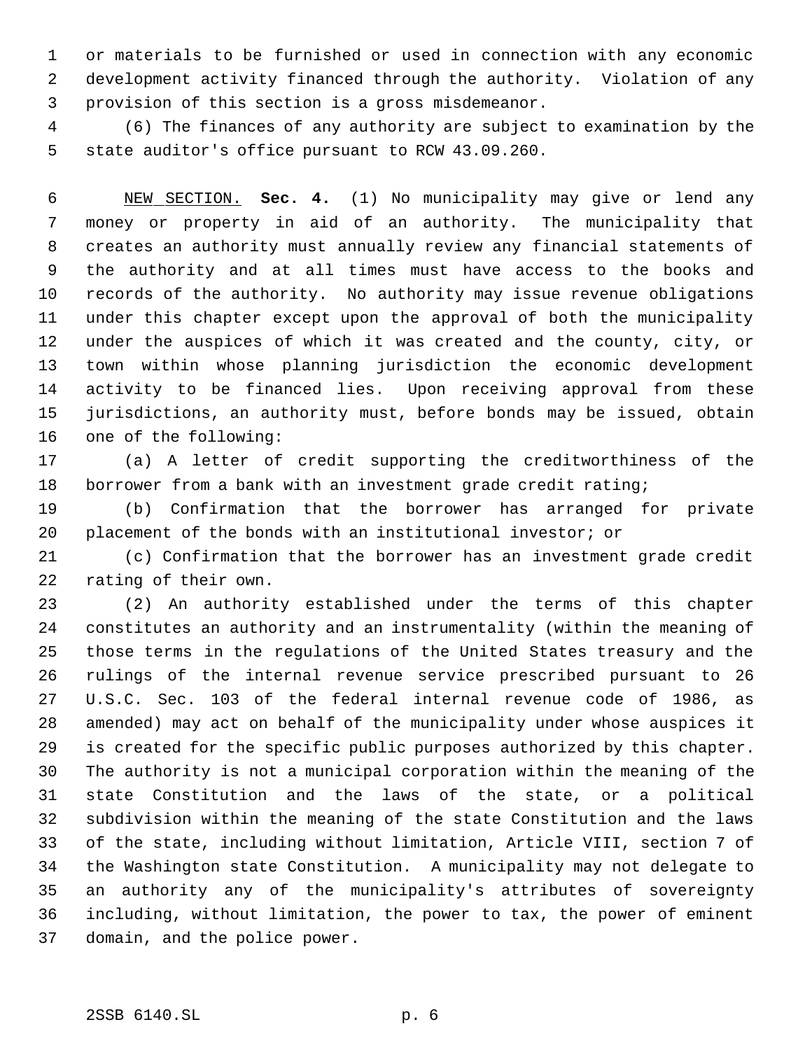or materials to be furnished or used in connection with any economic development activity financed through the authority. Violation of any provision of this section is a gross misdemeanor.

 (6) The finances of any authority are subject to examination by the state auditor's office pursuant to RCW 43.09.260.

 NEW SECTION. **Sec. 4.** (1) No municipality may give or lend any money or property in aid of an authority. The municipality that creates an authority must annually review any financial statements of the authority and at all times must have access to the books and records of the authority. No authority may issue revenue obligations under this chapter except upon the approval of both the municipality under the auspices of which it was created and the county, city, or town within whose planning jurisdiction the economic development activity to be financed lies. Upon receiving approval from these jurisdictions, an authority must, before bonds may be issued, obtain one of the following:

 (a) A letter of credit supporting the creditworthiness of the borrower from a bank with an investment grade credit rating;

 (b) Confirmation that the borrower has arranged for private placement of the bonds with an institutional investor; or

 (c) Confirmation that the borrower has an investment grade credit rating of their own.

 (2) An authority established under the terms of this chapter constitutes an authority and an instrumentality (within the meaning of those terms in the regulations of the United States treasury and the rulings of the internal revenue service prescribed pursuant to 26 U.S.C. Sec. 103 of the federal internal revenue code of 1986, as amended) may act on behalf of the municipality under whose auspices it is created for the specific public purposes authorized by this chapter. The authority is not a municipal corporation within the meaning of the state Constitution and the laws of the state, or a political subdivision within the meaning of the state Constitution and the laws of the state, including without limitation, Article VIII, section 7 of the Washington state Constitution. A municipality may not delegate to an authority any of the municipality's attributes of sovereignty including, without limitation, the power to tax, the power of eminent domain, and the police power.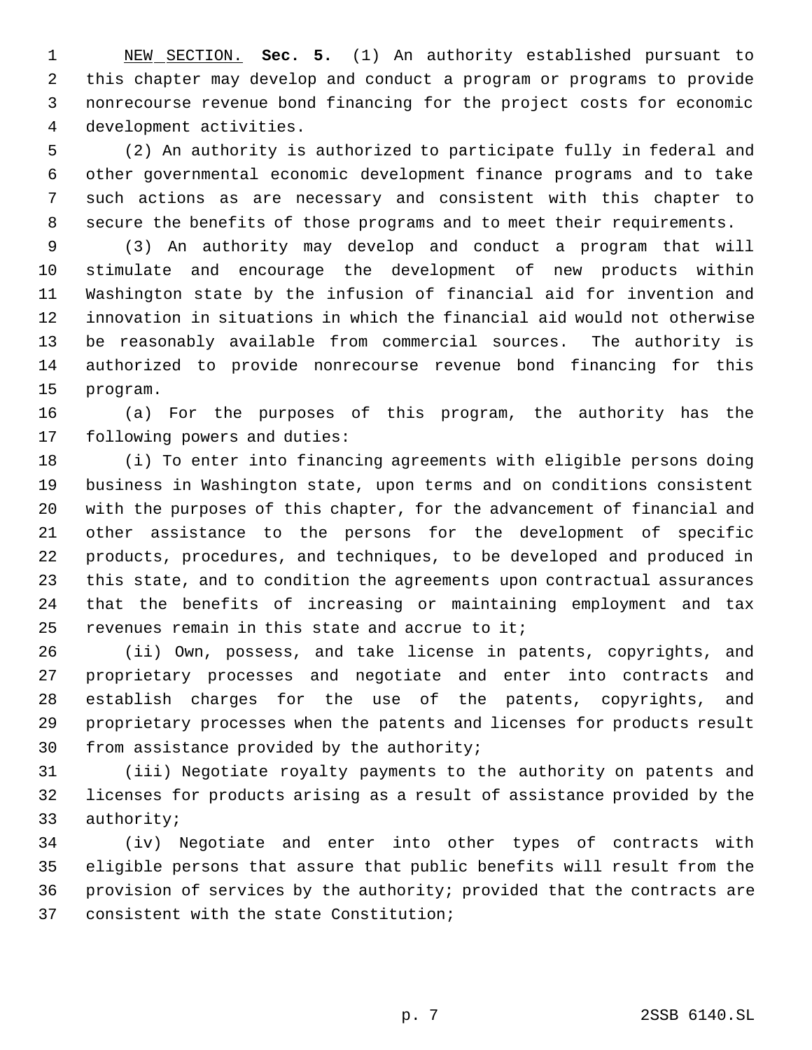NEW SECTION. **Sec. 5.** (1) An authority established pursuant to this chapter may develop and conduct a program or programs to provide nonrecourse revenue bond financing for the project costs for economic development activities.

 (2) An authority is authorized to participate fully in federal and other governmental economic development finance programs and to take such actions as are necessary and consistent with this chapter to secure the benefits of those programs and to meet their requirements.

 (3) An authority may develop and conduct a program that will stimulate and encourage the development of new products within Washington state by the infusion of financial aid for invention and innovation in situations in which the financial aid would not otherwise be reasonably available from commercial sources. The authority is authorized to provide nonrecourse revenue bond financing for this program.

 (a) For the purposes of this program, the authority has the following powers and duties:

 (i) To enter into financing agreements with eligible persons doing business in Washington state, upon terms and on conditions consistent with the purposes of this chapter, for the advancement of financial and other assistance to the persons for the development of specific products, procedures, and techniques, to be developed and produced in this state, and to condition the agreements upon contractual assurances that the benefits of increasing or maintaining employment and tax revenues remain in this state and accrue to it;

 (ii) Own, possess, and take license in patents, copyrights, and proprietary processes and negotiate and enter into contracts and establish charges for the use of the patents, copyrights, and proprietary processes when the patents and licenses for products result from assistance provided by the authority;

 (iii) Negotiate royalty payments to the authority on patents and licenses for products arising as a result of assistance provided by the authority;

 (iv) Negotiate and enter into other types of contracts with eligible persons that assure that public benefits will result from the provision of services by the authority; provided that the contracts are consistent with the state Constitution;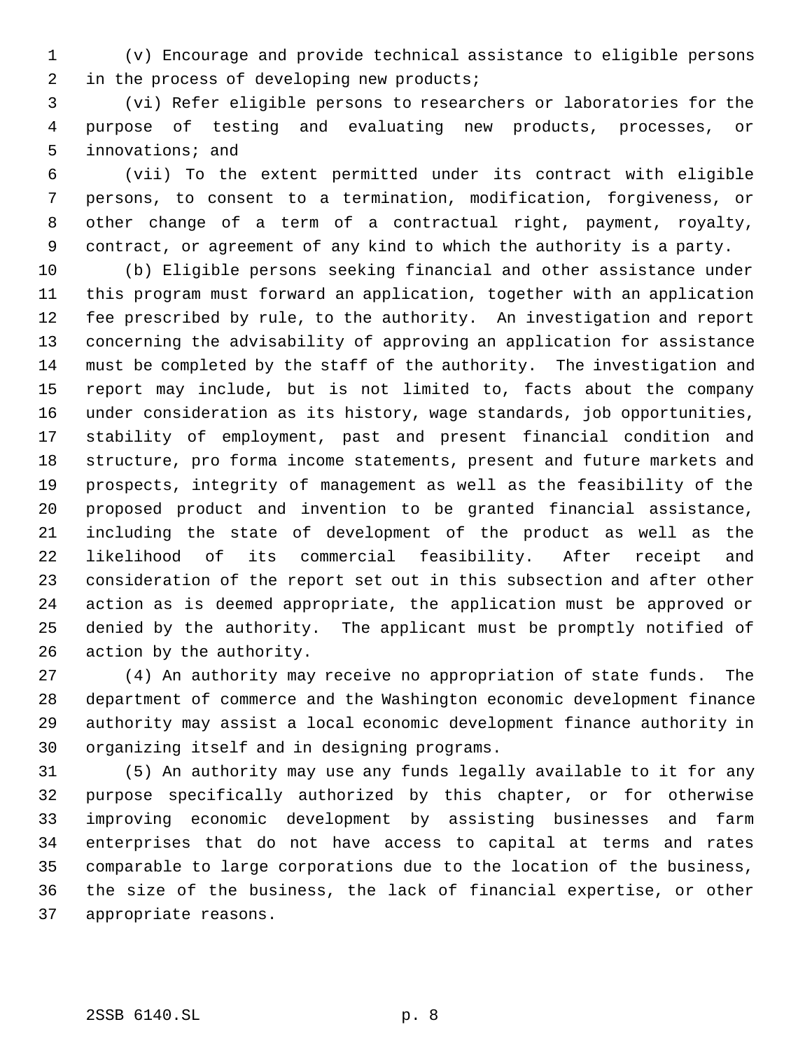(v) Encourage and provide technical assistance to eligible persons in the process of developing new products;

 (vi) Refer eligible persons to researchers or laboratories for the purpose of testing and evaluating new products, processes, or innovations; and

 (vii) To the extent permitted under its contract with eligible persons, to consent to a termination, modification, forgiveness, or other change of a term of a contractual right, payment, royalty, contract, or agreement of any kind to which the authority is a party.

 (b) Eligible persons seeking financial and other assistance under this program must forward an application, together with an application fee prescribed by rule, to the authority. An investigation and report concerning the advisability of approving an application for assistance must be completed by the staff of the authority. The investigation and report may include, but is not limited to, facts about the company under consideration as its history, wage standards, job opportunities, stability of employment, past and present financial condition and structure, pro forma income statements, present and future markets and prospects, integrity of management as well as the feasibility of the proposed product and invention to be granted financial assistance, including the state of development of the product as well as the likelihood of its commercial feasibility. After receipt and consideration of the report set out in this subsection and after other action as is deemed appropriate, the application must be approved or denied by the authority. The applicant must be promptly notified of action by the authority.

 (4) An authority may receive no appropriation of state funds. The department of commerce and the Washington economic development finance authority may assist a local economic development finance authority in organizing itself and in designing programs.

 (5) An authority may use any funds legally available to it for any purpose specifically authorized by this chapter, or for otherwise improving economic development by assisting businesses and farm enterprises that do not have access to capital at terms and rates comparable to large corporations due to the location of the business, the size of the business, the lack of financial expertise, or other appropriate reasons.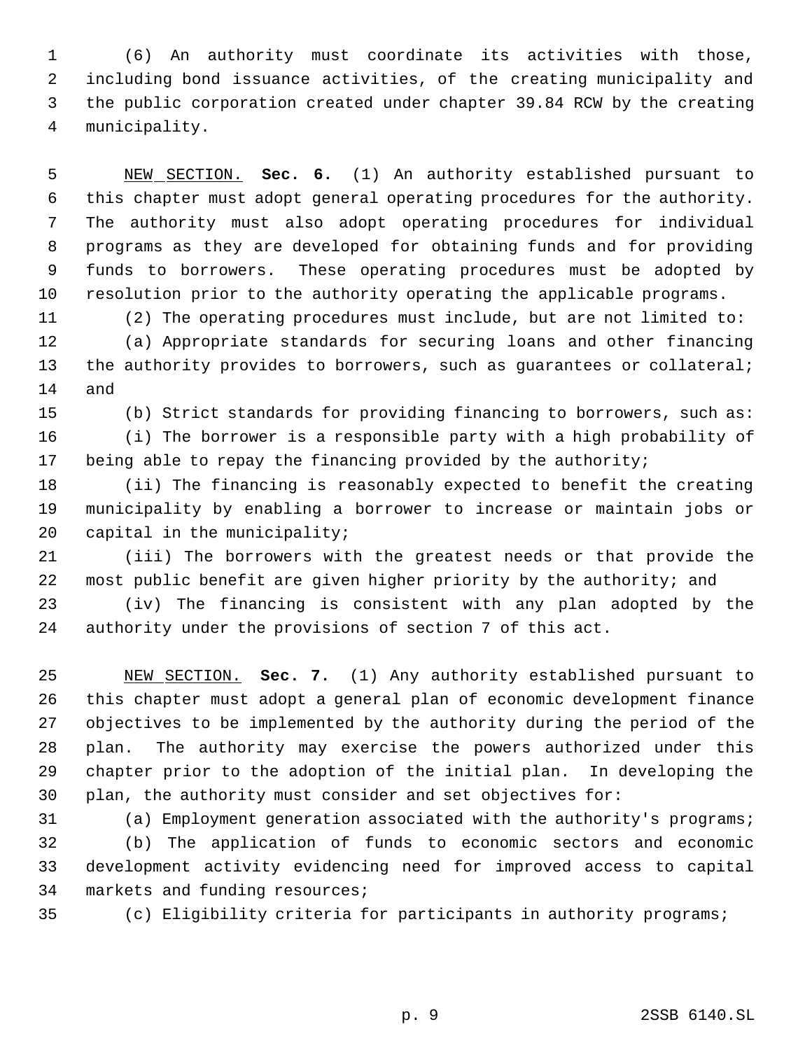(6) An authority must coordinate its activities with those, including bond issuance activities, of the creating municipality and the public corporation created under chapter 39.84 RCW by the creating municipality.

 NEW SECTION. **Sec. 6.** (1) An authority established pursuant to this chapter must adopt general operating procedures for the authority. The authority must also adopt operating procedures for individual programs as they are developed for obtaining funds and for providing funds to borrowers. These operating procedures must be adopted by resolution prior to the authority operating the applicable programs.

 (2) The operating procedures must include, but are not limited to: (a) Appropriate standards for securing loans and other financing 13 the authority provides to borrowers, such as guarantees or collateral; and

(b) Strict standards for providing financing to borrowers, such as:

 (i) The borrower is a responsible party with a high probability of being able to repay the financing provided by the authority;

 (ii) The financing is reasonably expected to benefit the creating municipality by enabling a borrower to increase or maintain jobs or 20 capital in the municipality;

 (iii) The borrowers with the greatest needs or that provide the most public benefit are given higher priority by the authority; and

 (iv) The financing is consistent with any plan adopted by the authority under the provisions of section 7 of this act.

 NEW SECTION. **Sec. 7.** (1) Any authority established pursuant to this chapter must adopt a general plan of economic development finance objectives to be implemented by the authority during the period of the plan. The authority may exercise the powers authorized under this chapter prior to the adoption of the initial plan. In developing the plan, the authority must consider and set objectives for:

(a) Employment generation associated with the authority's programs;

 (b) The application of funds to economic sectors and economic development activity evidencing need for improved access to capital markets and funding resources;

(c) Eligibility criteria for participants in authority programs;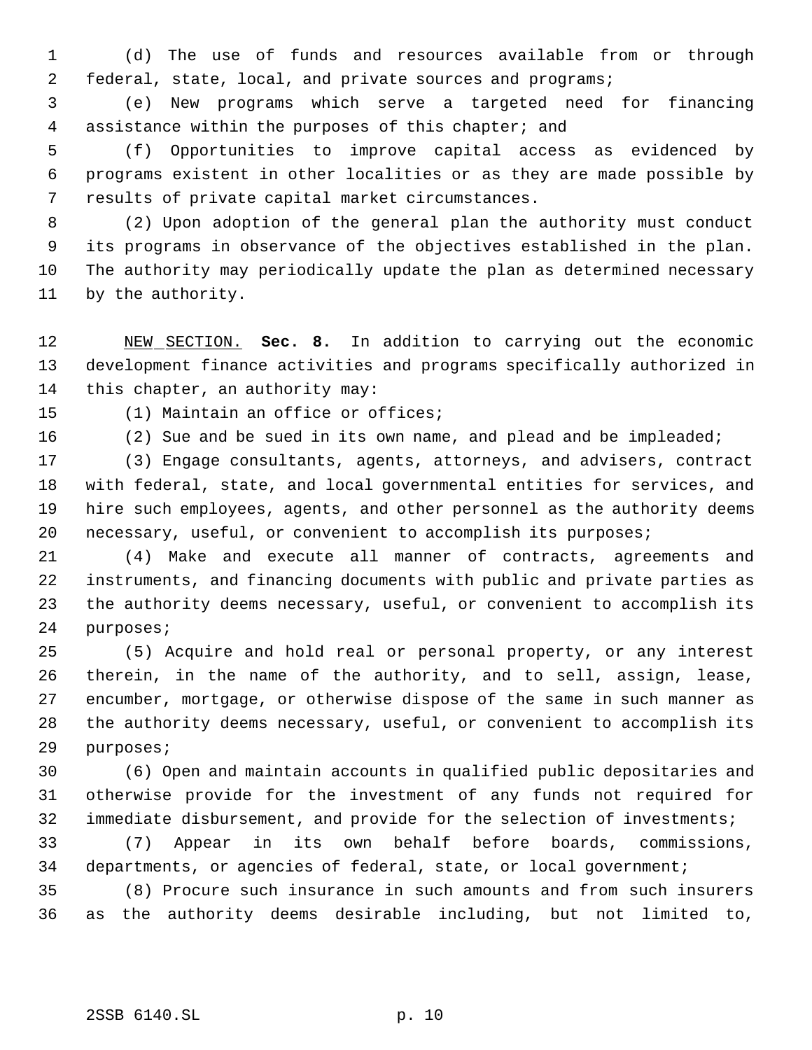(d) The use of funds and resources available from or through federal, state, local, and private sources and programs;

 (e) New programs which serve a targeted need for financing assistance within the purposes of this chapter; and

 (f) Opportunities to improve capital access as evidenced by programs existent in other localities or as they are made possible by results of private capital market circumstances.

 (2) Upon adoption of the general plan the authority must conduct its programs in observance of the objectives established in the plan. The authority may periodically update the plan as determined necessary by the authority.

 NEW SECTION. **Sec. 8.** In addition to carrying out the economic development finance activities and programs specifically authorized in this chapter, an authority may:

(1) Maintain an office or offices;

(2) Sue and be sued in its own name, and plead and be impleaded;

 (3) Engage consultants, agents, attorneys, and advisers, contract with federal, state, and local governmental entities for services, and hire such employees, agents, and other personnel as the authority deems necessary, useful, or convenient to accomplish its purposes;

 (4) Make and execute all manner of contracts, agreements and instruments, and financing documents with public and private parties as the authority deems necessary, useful, or convenient to accomplish its purposes;

 (5) Acquire and hold real or personal property, or any interest therein, in the name of the authority, and to sell, assign, lease, encumber, mortgage, or otherwise dispose of the same in such manner as the authority deems necessary, useful, or convenient to accomplish its purposes;

 (6) Open and maintain accounts in qualified public depositaries and otherwise provide for the investment of any funds not required for immediate disbursement, and provide for the selection of investments;

 (7) Appear in its own behalf before boards, commissions, 34 departments, or agencies of federal, state, or local government;

 (8) Procure such insurance in such amounts and from such insurers as the authority deems desirable including, but not limited to,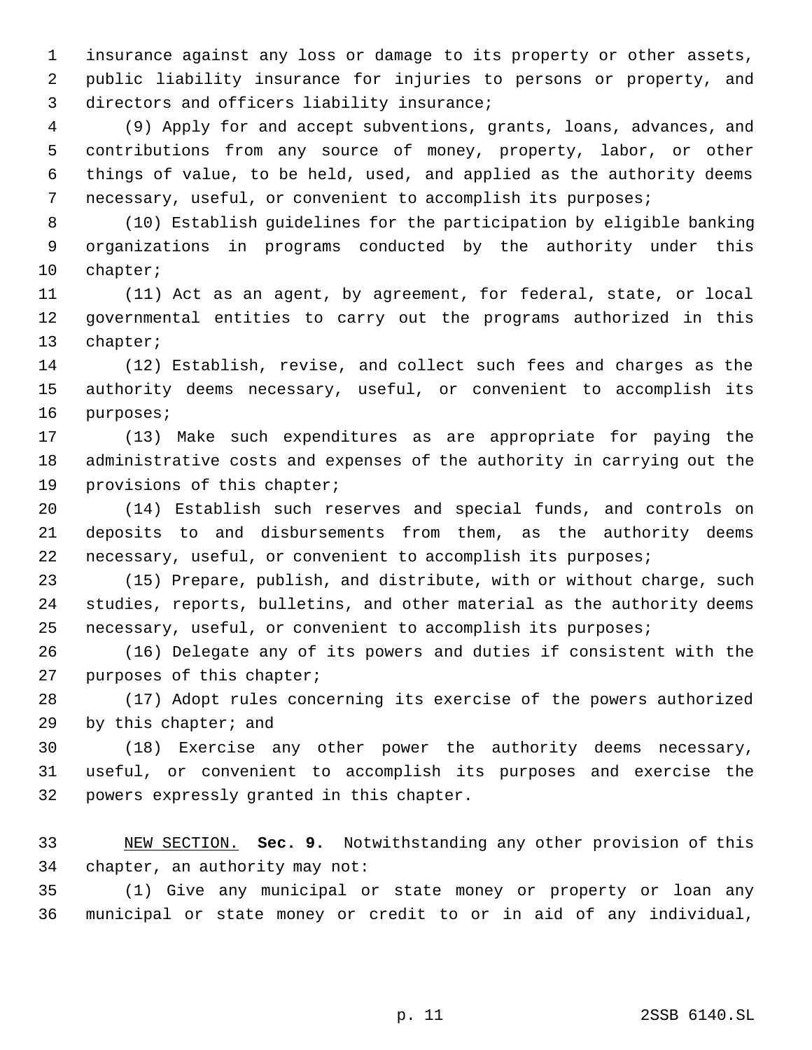insurance against any loss or damage to its property or other assets, public liability insurance for injuries to persons or property, and directors and officers liability insurance;

 (9) Apply for and accept subventions, grants, loans, advances, and contributions from any source of money, property, labor, or other things of value, to be held, used, and applied as the authority deems necessary, useful, or convenient to accomplish its purposes;

 (10) Establish guidelines for the participation by eligible banking organizations in programs conducted by the authority under this chapter;

 (11) Act as an agent, by agreement, for federal, state, or local governmental entities to carry out the programs authorized in this chapter;

 (12) Establish, revise, and collect such fees and charges as the authority deems necessary, useful, or convenient to accomplish its purposes;

 (13) Make such expenditures as are appropriate for paying the administrative costs and expenses of the authority in carrying out the provisions of this chapter;

 (14) Establish such reserves and special funds, and controls on deposits to and disbursements from them, as the authority deems necessary, useful, or convenient to accomplish its purposes;

 (15) Prepare, publish, and distribute, with or without charge, such studies, reports, bulletins, and other material as the authority deems necessary, useful, or convenient to accomplish its purposes;

 (16) Delegate any of its powers and duties if consistent with the purposes of this chapter;

 (17) Adopt rules concerning its exercise of the powers authorized by this chapter; and

 (18) Exercise any other power the authority deems necessary, useful, or convenient to accomplish its purposes and exercise the powers expressly granted in this chapter.

 NEW SECTION. **Sec. 9.** Notwithstanding any other provision of this chapter, an authority may not:

 (1) Give any municipal or state money or property or loan any municipal or state money or credit to or in aid of any individual,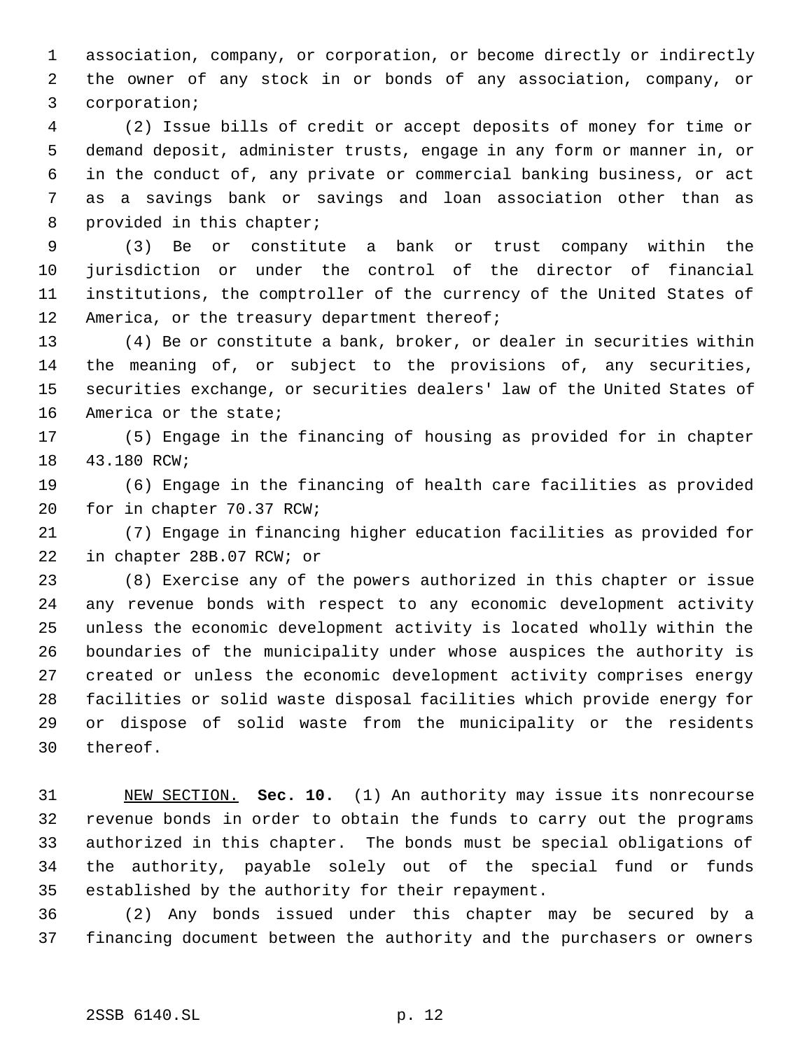association, company, or corporation, or become directly or indirectly the owner of any stock in or bonds of any association, company, or corporation;

 (2) Issue bills of credit or accept deposits of money for time or demand deposit, administer trusts, engage in any form or manner in, or in the conduct of, any private or commercial banking business, or act as a savings bank or savings and loan association other than as 8 provided in this chapter;

 (3) Be or constitute a bank or trust company within the jurisdiction or under the control of the director of financial institutions, the comptroller of the currency of the United States of 12 America, or the treasury department thereof;

 (4) Be or constitute a bank, broker, or dealer in securities within the meaning of, or subject to the provisions of, any securities, securities exchange, or securities dealers' law of the United States of America or the state;

 (5) Engage in the financing of housing as provided for in chapter 43.180 RCW;

 (6) Engage in the financing of health care facilities as provided for in chapter 70.37 RCW;

 (7) Engage in financing higher education facilities as provided for in chapter 28B.07 RCW; or

 (8) Exercise any of the powers authorized in this chapter or issue any revenue bonds with respect to any economic development activity unless the economic development activity is located wholly within the boundaries of the municipality under whose auspices the authority is created or unless the economic development activity comprises energy facilities or solid waste disposal facilities which provide energy for or dispose of solid waste from the municipality or the residents thereof.

 NEW SECTION. **Sec. 10.** (1) An authority may issue its nonrecourse revenue bonds in order to obtain the funds to carry out the programs authorized in this chapter. The bonds must be special obligations of the authority, payable solely out of the special fund or funds established by the authority for their repayment.

 (2) Any bonds issued under this chapter may be secured by a financing document between the authority and the purchasers or owners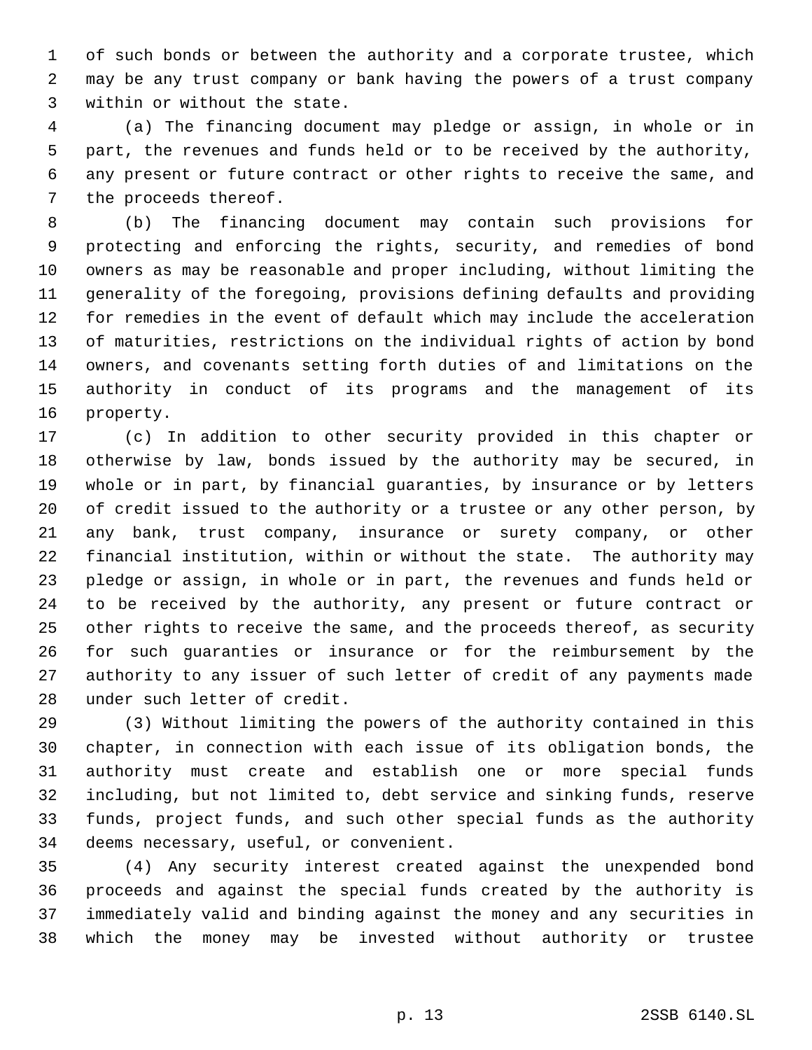of such bonds or between the authority and a corporate trustee, which may be any trust company or bank having the powers of a trust company within or without the state.

 (a) The financing document may pledge or assign, in whole or in part, the revenues and funds held or to be received by the authority, any present or future contract or other rights to receive the same, and the proceeds thereof.

 (b) The financing document may contain such provisions for protecting and enforcing the rights, security, and remedies of bond owners as may be reasonable and proper including, without limiting the generality of the foregoing, provisions defining defaults and providing for remedies in the event of default which may include the acceleration of maturities, restrictions on the individual rights of action by bond owners, and covenants setting forth duties of and limitations on the authority in conduct of its programs and the management of its property.

 (c) In addition to other security provided in this chapter or otherwise by law, bonds issued by the authority may be secured, in whole or in part, by financial guaranties, by insurance or by letters of credit issued to the authority or a trustee or any other person, by any bank, trust company, insurance or surety company, or other financial institution, within or without the state. The authority may pledge or assign, in whole or in part, the revenues and funds held or to be received by the authority, any present or future contract or other rights to receive the same, and the proceeds thereof, as security for such guaranties or insurance or for the reimbursement by the authority to any issuer of such letter of credit of any payments made under such letter of credit.

 (3) Without limiting the powers of the authority contained in this chapter, in connection with each issue of its obligation bonds, the authority must create and establish one or more special funds including, but not limited to, debt service and sinking funds, reserve funds, project funds, and such other special funds as the authority deems necessary, useful, or convenient.

 (4) Any security interest created against the unexpended bond proceeds and against the special funds created by the authority is immediately valid and binding against the money and any securities in which the money may be invested without authority or trustee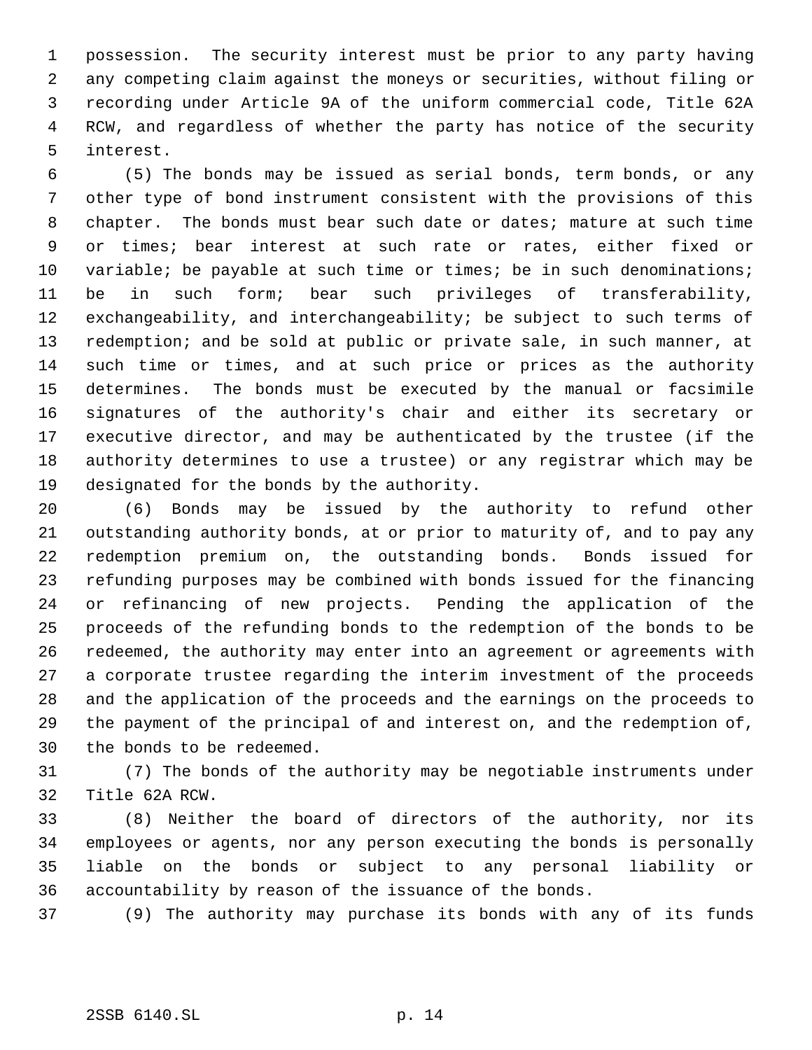possession. The security interest must be prior to any party having any competing claim against the moneys or securities, without filing or recording under Article 9A of the uniform commercial code, Title 62A RCW, and regardless of whether the party has notice of the security interest.

 (5) The bonds may be issued as serial bonds, term bonds, or any other type of bond instrument consistent with the provisions of this chapter. The bonds must bear such date or dates; mature at such time or times; bear interest at such rate or rates, either fixed or 10 variable; be payable at such time or times; be in such denominations; be in such form; bear such privileges of transferability, exchangeability, and interchangeability; be subject to such terms of redemption; and be sold at public or private sale, in such manner, at such time or times, and at such price or prices as the authority determines. The bonds must be executed by the manual or facsimile signatures of the authority's chair and either its secretary or executive director, and may be authenticated by the trustee (if the authority determines to use a trustee) or any registrar which may be designated for the bonds by the authority.

 (6) Bonds may be issued by the authority to refund other outstanding authority bonds, at or prior to maturity of, and to pay any redemption premium on, the outstanding bonds. Bonds issued for refunding purposes may be combined with bonds issued for the financing or refinancing of new projects. Pending the application of the proceeds of the refunding bonds to the redemption of the bonds to be redeemed, the authority may enter into an agreement or agreements with a corporate trustee regarding the interim investment of the proceeds and the application of the proceeds and the earnings on the proceeds to the payment of the principal of and interest on, and the redemption of, the bonds to be redeemed.

 (7) The bonds of the authority may be negotiable instruments under Title 62A RCW.

 (8) Neither the board of directors of the authority, nor its employees or agents, nor any person executing the bonds is personally liable on the bonds or subject to any personal liability or accountability by reason of the issuance of the bonds.

(9) The authority may purchase its bonds with any of its funds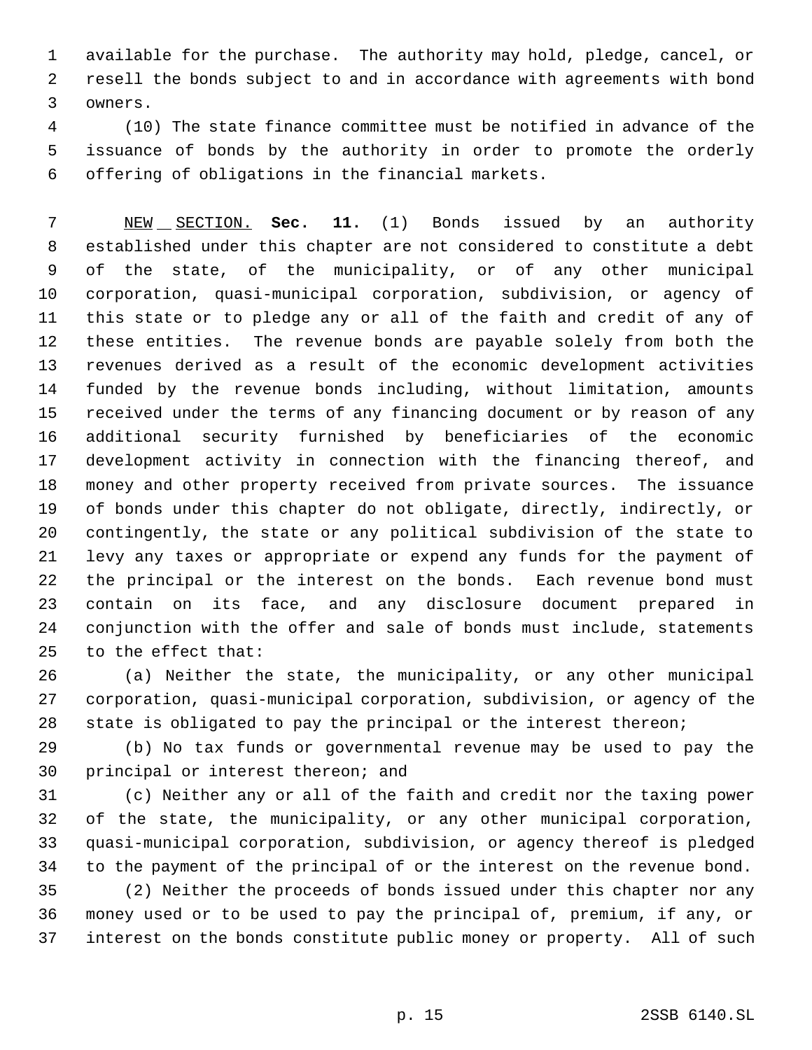available for the purchase. The authority may hold, pledge, cancel, or resell the bonds subject to and in accordance with agreements with bond owners.

 (10) The state finance committee must be notified in advance of the issuance of bonds by the authority in order to promote the orderly offering of obligations in the financial markets.

 NEW SECTION. **Sec. 11.** (1) Bonds issued by an authority established under this chapter are not considered to constitute a debt of the state, of the municipality, or of any other municipal corporation, quasi-municipal corporation, subdivision, or agency of this state or to pledge any or all of the faith and credit of any of these entities. The revenue bonds are payable solely from both the revenues derived as a result of the economic development activities funded by the revenue bonds including, without limitation, amounts received under the terms of any financing document or by reason of any additional security furnished by beneficiaries of the economic development activity in connection with the financing thereof, and money and other property received from private sources. The issuance of bonds under this chapter do not obligate, directly, indirectly, or contingently, the state or any political subdivision of the state to levy any taxes or appropriate or expend any funds for the payment of the principal or the interest on the bonds. Each revenue bond must contain on its face, and any disclosure document prepared in conjunction with the offer and sale of bonds must include, statements to the effect that:

 (a) Neither the state, the municipality, or any other municipal corporation, quasi-municipal corporation, subdivision, or agency of the state is obligated to pay the principal or the interest thereon;

 (b) No tax funds or governmental revenue may be used to pay the principal or interest thereon; and

 (c) Neither any or all of the faith and credit nor the taxing power of the state, the municipality, or any other municipal corporation, quasi-municipal corporation, subdivision, or agency thereof is pledged to the payment of the principal of or the interest on the revenue bond.

 (2) Neither the proceeds of bonds issued under this chapter nor any money used or to be used to pay the principal of, premium, if any, or interest on the bonds constitute public money or property. All of such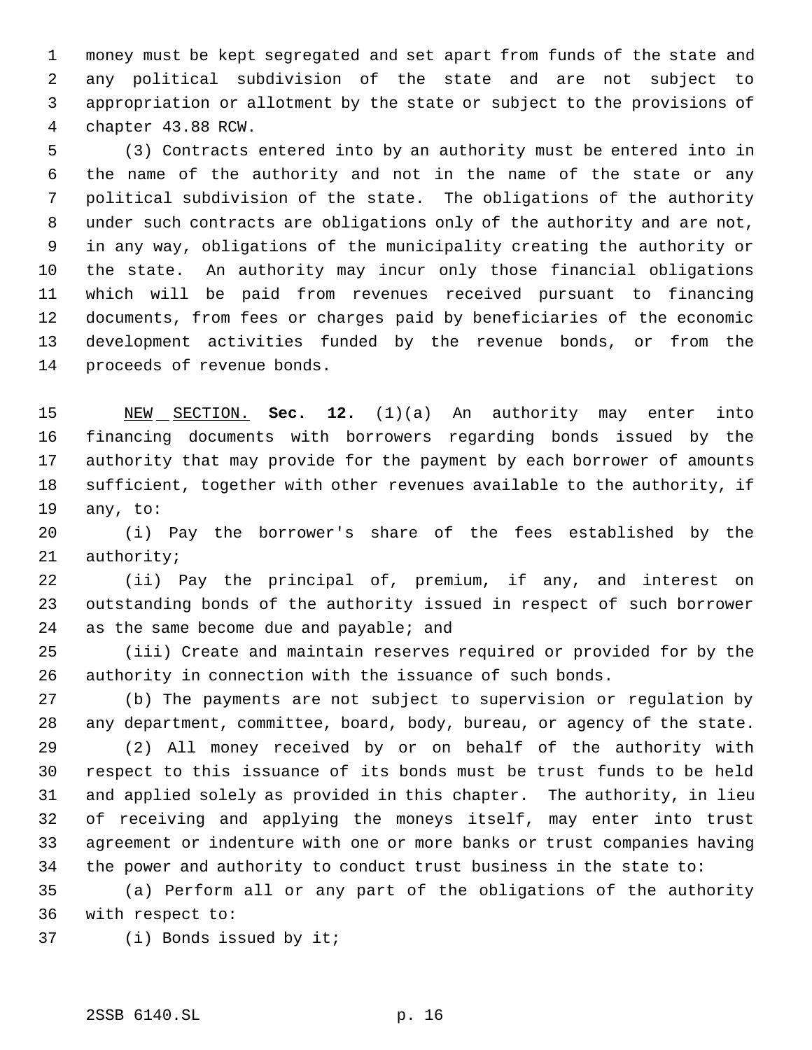money must be kept segregated and set apart from funds of the state and any political subdivision of the state and are not subject to appropriation or allotment by the state or subject to the provisions of chapter 43.88 RCW.

 (3) Contracts entered into by an authority must be entered into in the name of the authority and not in the name of the state or any political subdivision of the state. The obligations of the authority under such contracts are obligations only of the authority and are not, in any way, obligations of the municipality creating the authority or the state. An authority may incur only those financial obligations which will be paid from revenues received pursuant to financing documents, from fees or charges paid by beneficiaries of the economic development activities funded by the revenue bonds, or from the proceeds of revenue bonds.

 NEW SECTION. **Sec. 12.** (1)(a) An authority may enter into financing documents with borrowers regarding bonds issued by the authority that may provide for the payment by each borrower of amounts sufficient, together with other revenues available to the authority, if any, to:

 (i) Pay the borrower's share of the fees established by the authority;

 (ii) Pay the principal of, premium, if any, and interest on outstanding bonds of the authority issued in respect of such borrower 24 as the same become due and payable; and

 (iii) Create and maintain reserves required or provided for by the authority in connection with the issuance of such bonds.

 (b) The payments are not subject to supervision or regulation by any department, committee, board, body, bureau, or agency of the state.

 (2) All money received by or on behalf of the authority with respect to this issuance of its bonds must be trust funds to be held and applied solely as provided in this chapter. The authority, in lieu of receiving and applying the moneys itself, may enter into trust agreement or indenture with one or more banks or trust companies having the power and authority to conduct trust business in the state to:

 (a) Perform all or any part of the obligations of the authority with respect to:

(i) Bonds issued by it;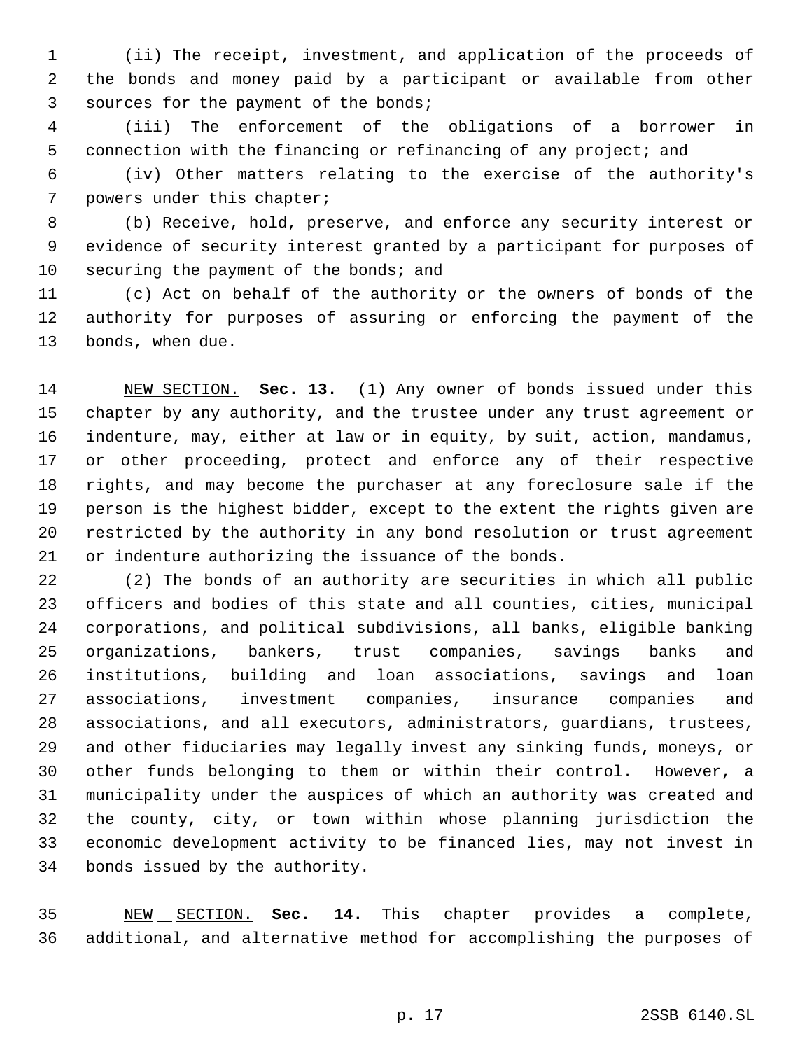(ii) The receipt, investment, and application of the proceeds of the bonds and money paid by a participant or available from other sources for the payment of the bonds;

 (iii) The enforcement of the obligations of a borrower in connection with the financing or refinancing of any project; and

 (iv) Other matters relating to the exercise of the authority's powers under this chapter;

 (b) Receive, hold, preserve, and enforce any security interest or evidence of security interest granted by a participant for purposes of 10 securing the payment of the bonds; and

 (c) Act on behalf of the authority or the owners of bonds of the authority for purposes of assuring or enforcing the payment of the bonds, when due.

 NEW SECTION. **Sec. 13.** (1) Any owner of bonds issued under this chapter by any authority, and the trustee under any trust agreement or indenture, may, either at law or in equity, by suit, action, mandamus, or other proceeding, protect and enforce any of their respective rights, and may become the purchaser at any foreclosure sale if the person is the highest bidder, except to the extent the rights given are restricted by the authority in any bond resolution or trust agreement or indenture authorizing the issuance of the bonds.

 (2) The bonds of an authority are securities in which all public officers and bodies of this state and all counties, cities, municipal corporations, and political subdivisions, all banks, eligible banking organizations, bankers, trust companies, savings banks and institutions, building and loan associations, savings and loan associations, investment companies, insurance companies and associations, and all executors, administrators, guardians, trustees, and other fiduciaries may legally invest any sinking funds, moneys, or other funds belonging to them or within their control. However, a municipality under the auspices of which an authority was created and the county, city, or town within whose planning jurisdiction the economic development activity to be financed lies, may not invest in bonds issued by the authority.

 NEW SECTION. **Sec. 14.** This chapter provides a complete, additional, and alternative method for accomplishing the purposes of